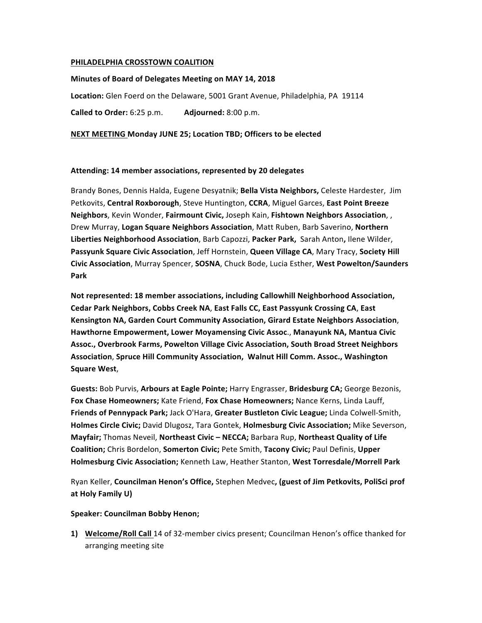## **PHILADELPHIA CROSSTOWN COALITION**

## **Minutes of Board of Delegates Meeting on MAY 14, 2018**

Location: Glen Foerd on the Delaware, 5001 Grant Avenue, Philadelphia, PA 19114

**Called to Order:** 6:25 p.m. **Adjourned:** 8:00 p.m.

# **NEXT MEETING Monday JUNE 25; Location TBD; Officers to be elected**

# **Attending: 14 member associations, represented by 20 delegates**

Brandy Bones, Dennis Halda, Eugene Desyatnik; Bella Vista Neighbors, Celeste Hardester, Jim Petkovits, Central Roxborough, Steve Huntington, CCRA, Miguel Garces, East Point Breeze **Neighbors**, Kevin Wonder, Fairmount Civic, Joseph Kain, Fishtown Neighbors Association, , Drew Murray, Logan Square Neighbors Association, Matt Ruben, Barb Saverino, Northern Liberties Neighborhood Association, Barb Capozzi, Packer Park, Sarah Anton, Ilene Wilder, Passyunk Square Civic Association, Jeff Hornstein, Queen Village CA, Mary Tracy, Society Hill **Civic Association**, Murray Spencer, **SOSNA**, Chuck Bode, Lucia Esther, West Powelton/Saunders **Park**

Not represented: 18 member associations, including Callowhill Neighborhood Association, Cedar Park Neighbors, Cobbs Creek NA, East Falls CC, East Passyunk Crossing CA, East **Kensington NA, Garden Court Community Association, Girard Estate Neighbors Association,** Hawthorne Empowerment, Lower Moyamensing Civic Assoc., Manayunk NA, Mantua Civic Assoc., Overbrook Farms, Powelton Village Civic Association, South Broad Street Neighbors **Association, Spruce Hill Community Association, Walnut Hill Comm. Assoc., Washington Square West**,

Guests: Bob Purvis, Arbours at Eagle Pointe; Harry Engrasser, Bridesburg CA; George Bezonis, Fox Chase Homeowners; Kate Friend, Fox Chase Homeowners; Nance Kerns, Linda Lauff, **Friends of Pennypack Park;** Jack O'Hara, Greater Bustleton Civic League; Linda Colwell-Smith, **Holmes Circle Civic;** David Dlugosz, Tara Gontek, **Holmesburg Civic Association;** Mike Severson, **Mayfair;** Thomas Neveil, Northeast Civic - NECCA; Barbara Rup, Northeast Quality of Life **Coalition;** Chris Bordelon, **Somerton Civic;** Pete Smith, Tacony Civic; Paul Definis, Upper Holmesburg Civic Association; Kenneth Law, Heather Stanton, West Torresdale/Morrell Park

Ryan Keller, **Councilman Henon's Office,** Stephen Medvec, (guest of Jim Petkovits, PoliSci prof **at Holy Family U)**

## **Speaker: Councilman Bobby Henon;**

**1) Welcome/Roll Call** 14 of 32-member civics present; Councilman Henon's office thanked for arranging meeting site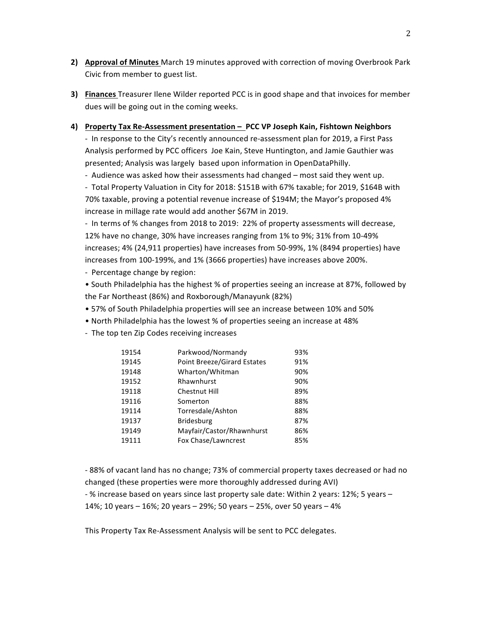- **2) Approval of Minutes** March 19 minutes approved with correction of moving Overbrook Park Civic from member to guest list.
- **3)** Finances Treasurer Ilene Wilder reported PCC is in good shape and that invoices for member dues will be going out in the coming weeks.

# **4) Property Tax Re-Assessment presentation – PCC VP Joseph Kain, Fishtown Neighbors**

- In response to the City's recently announced re-assessment plan for 2019, a First Pass Analysis performed by PCC officers Joe Kain, Steve Huntington, and Jamie Gauthier was presented; Analysis was largely based upon information in OpenDataPhilly.

- Audience was asked how their assessments had changed – most said they went up.

- Total Property Valuation in City for 2018: \$151B with 67% taxable; for 2019, \$164B with 70% taxable, proving a potential revenue increase of \$194M; the Mayor's proposed 4% increase in millage rate would add another \$67M in 2019.

- In terms of % changes from 2018 to 2019: 22% of property assessments will decrease, 12% have no change, 30% have increases ranging from 1% to 9%; 31% from 10-49% increases; 4% (24,911 properties) have increases from 50-99%, 1% (8494 properties) have increases from 100-199%, and 1% (3666 properties) have increases above 200%.

- Percentage change by region:

• South Philadelphia has the highest % of properties seeing an increase at 87%, followed by the Far Northeast (86%) and Roxborough/Manayunk (82%)

- 57% of South Philadelphia properties will see an increase between 10% and 50%
- North Philadelphia has the lowest % of properties seeing an increase at 48%
- The top ten Zip Codes receiving increases

| 19154 | Parkwood/Normandy                  | 93% |
|-------|------------------------------------|-----|
| 19145 | <b>Point Breeze/Girard Estates</b> | 91% |
| 19148 | Wharton/Whitman                    | 90% |
| 19152 | Rhawnhurst                         | 90% |
| 19118 | <b>Chestnut Hill</b>               | 89% |
| 19116 | Somerton                           | 88% |
| 19114 | Torresdale/Ashton                  | 88% |
| 19137 | <b>Bridesburg</b>                  | 87% |
| 19149 | Mayfair/Castor/Rhawnhurst          | 86% |
| 19111 | Fox Chase/Lawncrest                | 85% |
|       |                                    |     |

- 88% of vacant land has no change; 73% of commercial property taxes decreased or had no changed (these properties were more thoroughly addressed during AVI)

- % increase based on years since last property sale date: Within 2 years: 12%; 5 years -

14%; 10 years - 16%; 20 years - 29%; 50 years - 25%, over 50 years - 4%

This Property Tax Re-Assessment Analysis will be sent to PCC delegates.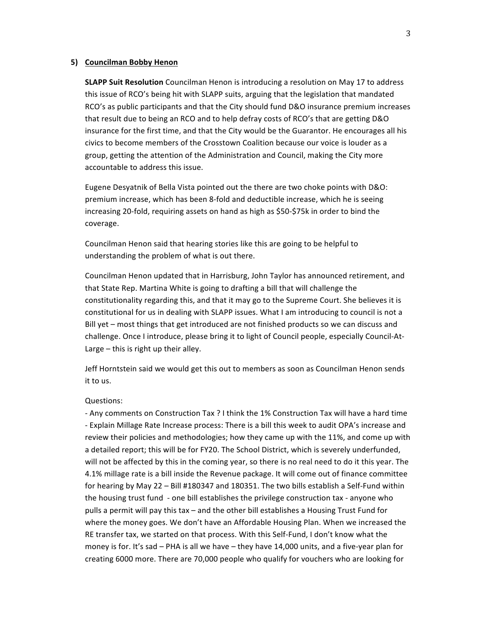### **5) Councilman Bobby Henon**

**SLAPP Suit Resolution** Councilman Henon is introducing a resolution on May 17 to address this issue of RCO's being hit with SLAPP suits, arguing that the legislation that mandated RCO's as public participants and that the City should fund D&O insurance premium increases that result due to being an RCO and to help defray costs of RCO's that are getting D&O insurance for the first time, and that the City would be the Guarantor. He encourages all his civics to become members of the Crosstown Coalition because our voice is louder as a group, getting the attention of the Administration and Council, making the City more accountable to address this issue.

Eugene Desyatnik of Bella Vista pointed out the there are two choke points with D&O: premium increase, which has been 8-fold and deductible increase, which he is seeing increasing 20-fold, requiring assets on hand as high as \$50-\$75k in order to bind the coverage. 

Councilman Henon said that hearing stories like this are going to be helpful to understanding the problem of what is out there.

Councilman Henon updated that in Harrisburg, John Taylor has announced retirement, and that State Rep. Martina White is going to drafting a bill that will challenge the constitutionality regarding this, and that it may go to the Supreme Court. She believes it is constitutional for us in dealing with SLAPP issues. What I am introducing to council is not a Bill yet – most things that get introduced are not finished products so we can discuss and challenge. Once I introduce, please bring it to light of Council people, especially Council-At-Large  $-$  this is right up their alley.

Jeff Horntstein said we would get this out to members as soon as Councilman Henon sends it to us.

#### Questions:

- Any comments on Construction Tax ? I think the 1% Construction Tax will have a hard time - Explain Millage Rate Increase process: There is a bill this week to audit OPA's increase and review their policies and methodologies; how they came up with the 11%, and come up with a detailed report; this will be for FY20. The School District, which is severely underfunded, will not be affected by this in the coming year, so there is no real need to do it this year. The 4.1% millage rate is a bill inside the Revenue package. It will come out of finance committee for hearing by May 22 – Bill #180347 and 180351. The two bills establish a Self-Fund within the housing trust fund - one bill establishes the privilege construction tax - anyone who pulls a permit will pay this tax - and the other bill establishes a Housing Trust Fund for where the money goes. We don't have an Affordable Housing Plan. When we increased the RE transfer tax, we started on that process. With this Self-Fund, I don't know what the money is for. It's sad – PHA is all we have – they have  $14,000$  units, and a five-year plan for creating 6000 more. There are 70,000 people who qualify for vouchers who are looking for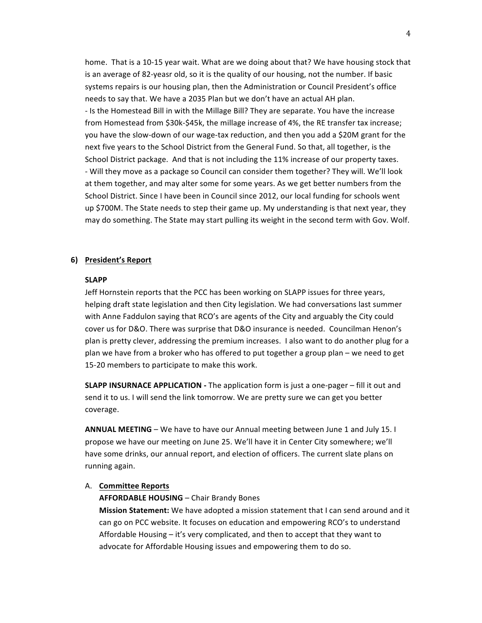home. That is a 10-15 year wait. What are we doing about that? We have housing stock that is an average of 82-yeasr old, so it is the quality of our housing, not the number. If basic systems repairs is our housing plan, then the Administration or Council President's office needs to say that. We have a 2035 Plan but we don't have an actual AH plan. - Is the Homestead Bill in with the Millage Bill? They are separate. You have the increase from Homestead from \$30k-\$45k, the millage increase of 4%, the RE transfer tax increase; you have the slow-down of our wage-tax reduction, and then you add a \$20M grant for the next five years to the School District from the General Fund. So that, all together, is the School District package. And that is not including the 11% increase of our property taxes. - Will they move as a package so Council can consider them together? They will. We'll look at them together, and may alter some for some years. As we get better numbers from the School District. Since I have been in Council since 2012, our local funding for schools went up \$700M. The State needs to step their game up. My understanding is that next year, they may do something. The State may start pulling its weight in the second term with Gov. Wolf.

### **6) President's Report**

#### **SLAPP**

Jeff Hornstein reports that the PCC has been working on SLAPP issues for three years, helping draft state legislation and then City legislation. We had conversations last summer with Anne Faddulon saying that RCO's are agents of the City and arguably the City could cover us for D&O. There was surprise that D&O insurance is needed. Councilman Henon's plan is pretty clever, addressing the premium increases. I also want to do another plug for a plan we have from a broker who has offered to put together a group plan – we need to get 15-20 members to participate to make this work.

**SLAPP INSURNACE APPLICATION** - The application form is just a one-pager – fill it out and send it to us. I will send the link tomorrow. We are pretty sure we can get you better coverage.

**ANNUAL MEETING** – We have to have our Annual meeting between June 1 and July 15. I propose we have our meeting on June 25. We'll have it in Center City somewhere; we'll have some drinks, our annual report, and election of officers. The current slate plans on running again.

### A. **Committee Reports**

#### **AFFORDABLE HOUSING** – Chair Brandy Bones

**Mission Statement:** We have adopted a mission statement that I can send around and it can go on PCC website. It focuses on education and empowering RCO's to understand Affordable Housing  $-$  it's very complicated, and then to accept that they want to advocate for Affordable Housing issues and empowering them to do so.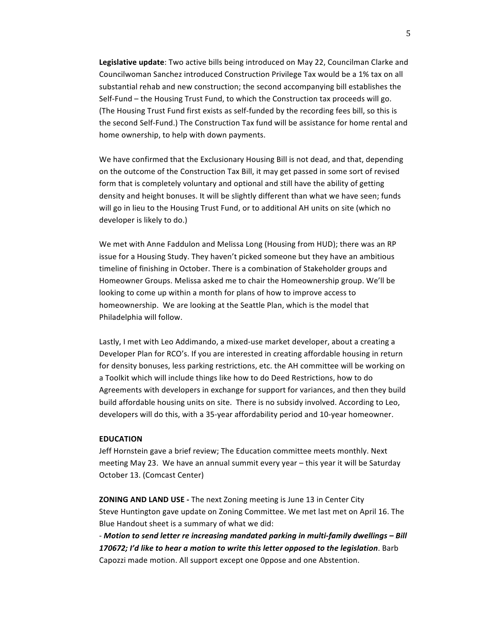**Legislative update**: Two active bills being introduced on May 22, Councilman Clarke and Councilwoman Sanchez introduced Construction Privilege Tax would be a 1% tax on all substantial rehab and new construction; the second accompanying bill establishes the Self-Fund  $-$  the Housing Trust Fund, to which the Construction tax proceeds will go. (The Housing Trust Fund first exists as self-funded by the recording fees bill, so this is the second Self-Fund.) The Construction Tax fund will be assistance for home rental and home ownership, to help with down payments.

We have confirmed that the Exclusionary Housing Bill is not dead, and that, depending on the outcome of the Construction Tax Bill, it may get passed in some sort of revised form that is completely voluntary and optional and still have the ability of getting density and height bonuses. It will be slightly different than what we have seen; funds will go in lieu to the Housing Trust Fund, or to additional AH units on site (which no developer is likely to do.)

We met with Anne Faddulon and Melissa Long (Housing from HUD); there was an RP issue for a Housing Study. They haven't picked someone but they have an ambitious timeline of finishing in October. There is a combination of Stakeholder groups and Homeowner Groups. Melissa asked me to chair the Homeownership group. We'll be looking to come up within a month for plans of how to improve access to homeownership. We are looking at the Seattle Plan, which is the model that Philadelphia will follow.

Lastly, I met with Leo Addimando, a mixed-use market developer, about a creating a Developer Plan for RCO's. If you are interested in creating affordable housing in return for density bonuses, less parking restrictions, etc. the AH committee will be working on a Toolkit which will include things like how to do Deed Restrictions, how to do Agreements with developers in exchange for support for variances, and then they build build affordable housing units on site. There is no subsidy involved. According to Leo, developers will do this, with a 35-year affordability period and 10-year homeowner.

### **EDUCATION**

Jeff Hornstein gave a brief review; The Education committee meets monthly. Next meeting May 23. We have an annual summit every year – this year it will be Saturday October 13. (Comcast Center)

**ZONING AND LAND USE** - The next Zoning meeting is June 13 in Center City Steve Huntington gave update on Zoning Committee. We met last met on April 16. The Blue Handout sheet is a summary of what we did:

- Motion to send letter re increasing mandated parking in multi-family dwellings - Bill **170672;** I'd like to hear a motion to write this letter opposed to the legislation. Barb Capozzi made motion. All support except one Oppose and one Abstention.